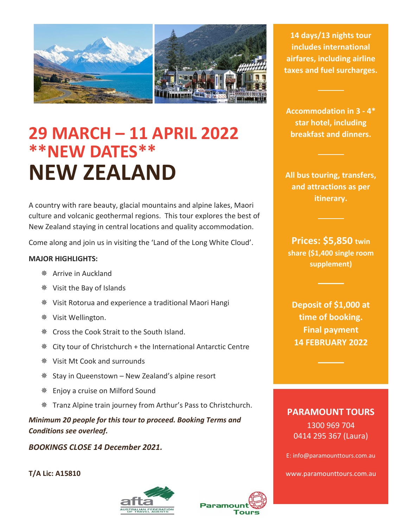

**29 MARCH – 11 APRIL 2022 \*\*NEW DATES\*\* NEW ZEALAND**

A country with rare beauty, glacial mountains and alpine lakes, Maori culture and volcanic geothermal regions. This tour explores the best of New Zealand staying in central locations and quality accommodation.

Come along and join us in visiting the 'Land of the Long White Cloud'.

#### **MAJOR HIGHLIGHTS:**

- Arrive in Auckland
- Visit the Bay of Islands
- Visit Rotorua and experience a traditional Maori Hangi
- Visit Wellington.
- **EXECT** Cross the Cook Strait to the South Island.
- $*$  City tour of Christchurch + the International Antarctic Centre
- Visit Mt Cook and surrounds
- $*$  Stay in Queenstown New Zealand's alpine resort
- Enjoy a cruise on Milford Sound
- Tranz Alpine train journey from Arthur's Pass to Christchurch.

*Minimum 20 people for this tour to proceed. Booking Terms and Conditions see overleaf.*

*BOOKINGS CLOSE 14 December 2021.*

**T/A Lic: A15810**





**14 days/13 nights tour includes international airfares, including airline taxes and fuel surcharges.**

**Accommodation in 3 - 4\* star hotel, including breakfast and dinners.**

**All bus touring, transfers, and attractions as per itinerary.**

**Prices: \$5,850 twin share (\$1,400 single room supplement)**

**Deposit of \$1,000 at time of booking. Final payment 14 FEBRUARY 2022**

## **PARAMOUNT TOURS**

1300 969 704 0414 295 367 (Laura)

E: info@paramounttours.com.au

www.paramounttours.com.au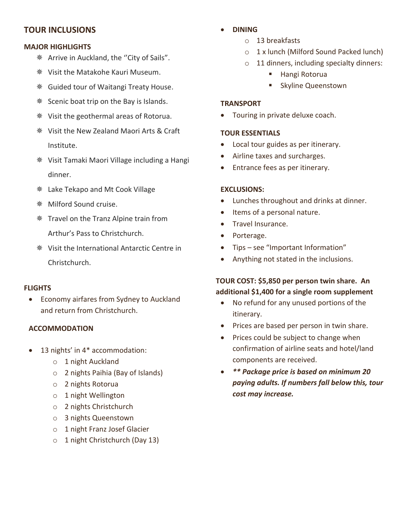# **TOUR INCLUSIONS**

## **MAJOR HIGHLIGHTS**

- Arrive in Auckland, the ''City of Sails".
- Visit the Matakohe Kauri Museum.
- **S** Guided tour of Waitangi Treaty House.
- **Scenic boat trip on the Bay is Islands.**
- Visit the geothermal areas of Rotorua.
- Visit the New Zealand Maori Arts & Craft Institute.
- Visit Tamaki Maori Village including a Hangi dinner.
- Lake Tekapo and Mt Cook Village
- Milford Sound cruise.
- $*$  Travel on the Tranz Alpine train from Arthur's Pass to Christchurch.
- Visit the International Antarctic Centre in Christchurch.

## **FLIGHTS**

• Economy airfares from Sydney to Auckland and return from Christchurch.

## **ACCOMMODATION**

- 13 nights' in 4\* accommodation:
	- o 1 night Auckland
	- o 2 nights Paihia (Bay of Islands)
	- o 2 nights Rotorua
	- o 1 night Wellington
	- o 2 nights Christchurch
	- o 3 nights Queenstown
	- o 1 night Franz Josef Glacier
	- o 1 night Christchurch (Day 13)
- **DINING**
	- o 13 breakfasts
	- o 1 x lunch (Milford Sound Packed lunch)
	- o 11 dinners, including specialty dinners:
		- Hangi Rotorua
		- Skyline Queenstown

## **TRANSPORT**

• Touring in private deluxe coach.

## **TOUR ESSENTIALS**

- Local tour guides as per itinerary.
- Airline taxes and surcharges.
- Entrance fees as per itinerary.

### **EXCLUSIONS:**

- Lunches throughout and drinks at dinner.
- Items of a personal nature.
- Travel Insurance.
- Porterage.
- Tips see "Important Information"
- Anything not stated in the inclusions.

# **TOUR COST: \$5,850 per person twin share. An additional \$1,400 for a single room supplement**

- No refund for any unused portions of the itinerary.
- Prices are based per person in twin share.
- Prices could be subject to change when confirmation of airline seats and hotel/land components are received.
- *\*\* Package price is based on minimum 20 paying adults. If numbers fall below this, tour cost may increase.*